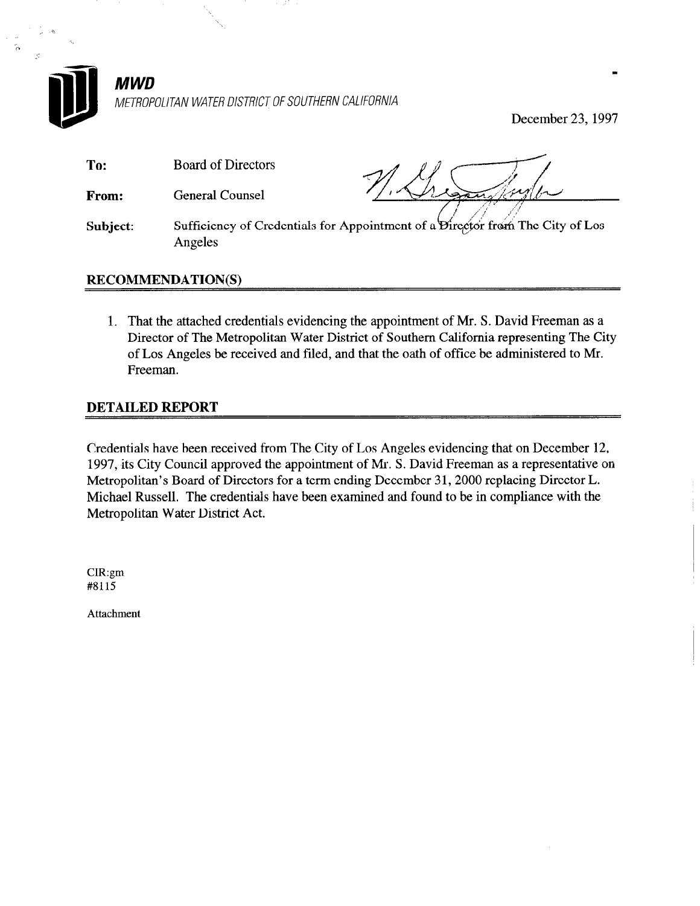

# METROPOLITAN WATER DISTRICT OF SOUTHERN CALIFORNIA

December 23, 1997

| To:      | <b>Board of Directors</b>                                                                |
|----------|------------------------------------------------------------------------------------------|
| From:    | <b>General Counsel</b>                                                                   |
| Subject: | Sufficiency of Credentials for Appointment of a Director from The City of Los<br>Angeles |

#### RECOMMENDATION(S)

1. That the attached credentials evidencing the appointment of Mr. S. David Freeman as a Director of The Metropolitan Water District of Southern California representing The City of Los Angeles be received and filed, and that the oath of office be administered to Mr. Freeman.

#### DETAILED REPORT

Credentials have been .received from The City of Los Angeles evidencing that on December 12, 1997, its City Council approved the appointment of Mr. S. David Freeman as a representative on Metropolitan's Board of Directors for a term ending December 31, 2000 replacing Director L. Michael Russell. The credentials have been examined and found to be in compliance with the Metropolitan Water District Act.

CIR:gm #8115

Attachment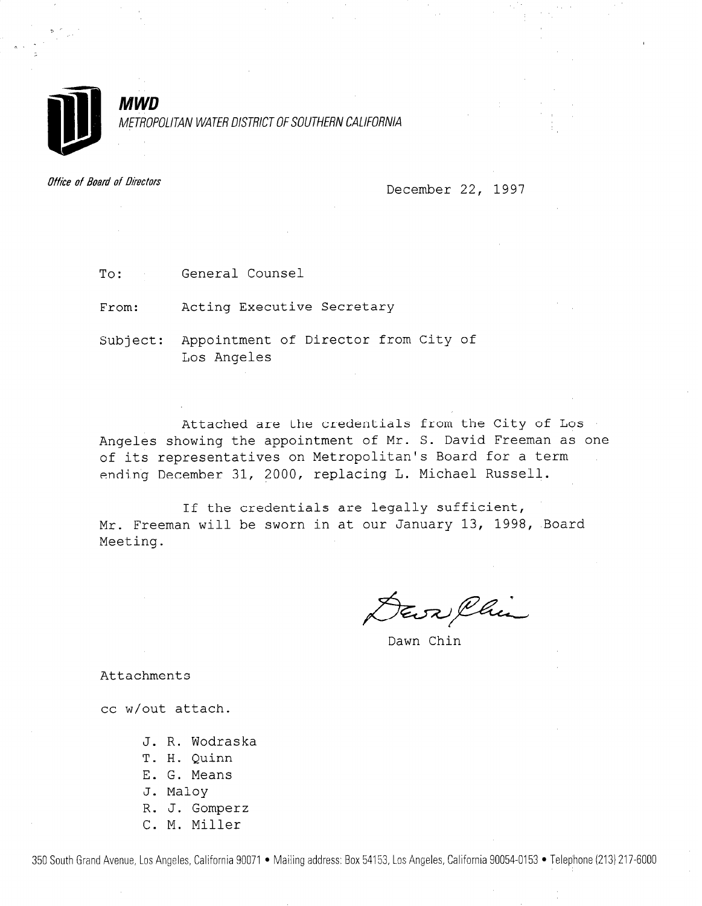

#### MWD METROPOLITAN WATER DISTRICT OF SOUTHERN CALIFORNIA

Office of Board of Directors and the Control of December 22, 1997

To: General Counsel

From: Acting Executive Secretary

Subject: Appointment of Director from City of Los Angeles

Attached are the credentials from the City of Los Angeles showing the appointment of Mr. S. David Freeman as one of its representatives on Metropolitan's Board for a term ending December 31, 2000, replacing L. Michael Russell.

If the credentials are legally sufficient, Mr. Freeman will be sworn in at our January 13, 1998, Board Meeting.

Eva Chin

Dawn Chin

Attachments

cc w/out attach.

- J. R. Wodraska
- T. H. Quinn
- E. G. Means
- J. Maloy
- R. J. Gomperz
- C. M. Miller

350 South Grand Avenue, Los Angeles, California 90071 · Mailing address: Box 54153, Los Angeles, California 90054-0153 · Telephone (213) 217-6000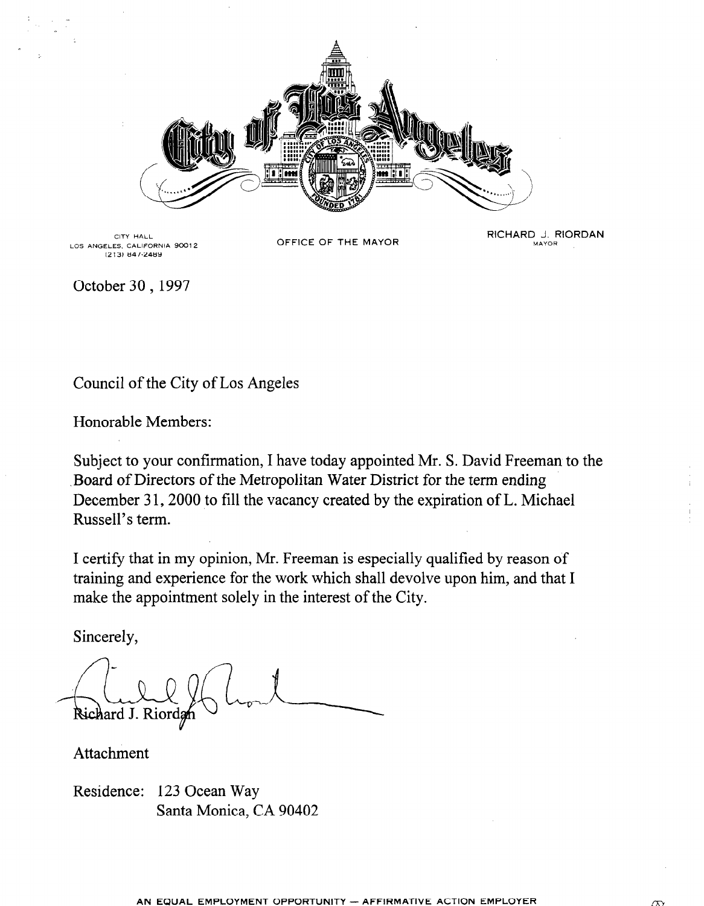

LOS ANGELES, CALIFORNIA 90012 **OFFICE OF THE MAYOR** (2 13) 847.2489

CITY HALL **CITY HALL CITY HALL CITY HALL** 

October 30 , 1997

## Council of the City of Los Angeles

Honorable Members:

Subject to your confirmation, I have today appointed Mr. S. David Freeman to the .Board of Directors of the Metropolitan Water District for the term ending December 31, 2000 to fill the vacancy created by the expiration of L. Michael Russell's term.

I certify that in my opinion,  $\mathbf{r}$  is especially qualified by reason of the specially  $\mathbf{r}$ training and the my opinion, the recently is especially quantica by reason of training and experience for the work which shall devolve upon him, and that I make the appointment solely in the interest of the City.

Sincerely,

Richard J. Riordan

Attachment

Residence: 123 Ocean Way<br>Santa Monica, CA 90402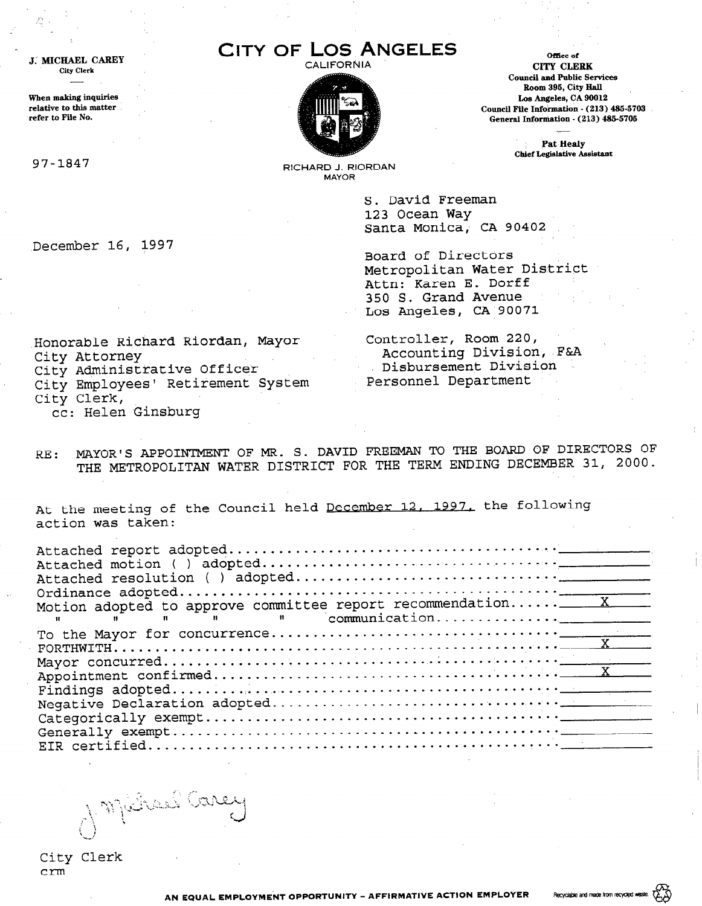J: MICHAEL CAREY City Clerk

When making inquiries relative to this matter refer to File No.

December 16, 1997

97-1847

CITY OF LOS ANGELES<br>CALIFORNIA CITY CLE



CITY CLERK Council and Public Services Room 395, City Hall Los Angeles, CA 90012 Council File Information - (213) 495-5703 General Information - (213) 485-5706

> Pat Healy Chief Legislative Assistant

RICHARD J. RIORDAN MAYOR

> S. David Freeman 123 Ocean Way Santa Monica; CA 90402

Board of Directors Metropolitan Water District Attn: Karen E. Dorff 350 S. Grand Avenue Los Angeles, CA 90071

Honorable Richard Riordan, Mayor City Attorney City Administrative Officer City Employees' Retirement System City Clerk, cc: Helen Ginsburg

Controller, Room 220, Accounting Division, F&A Disbursement Division Personnel Department

RE: MAYOR'S APPOINTMENT OF MR. S. DAVID FREEMAN TO THE BOARD OF DIRECTORS OF WHICK S AFFOINTMENT OF THE STIGHT FREEDED TO STRING DECEMBER 31, 2000

At the meeting of the Council held December 12, 1997, the following action was taken:

| Motion adopted to approve committee report recommendation $X$ |                                |
|---------------------------------------------------------------|--------------------------------|
| $\mathbf{n}$<br>п.<br>11.                                     |                                |
|                                                               |                                |
|                                                               |                                |
|                                                               |                                |
|                                                               |                                |
|                                                               |                                |
|                                                               |                                |
|                                                               |                                |
|                                                               |                                |
|                                                               | and the control of the company |
|                                                               |                                |

i militar de Cares

 $\overline{C}$  $-1$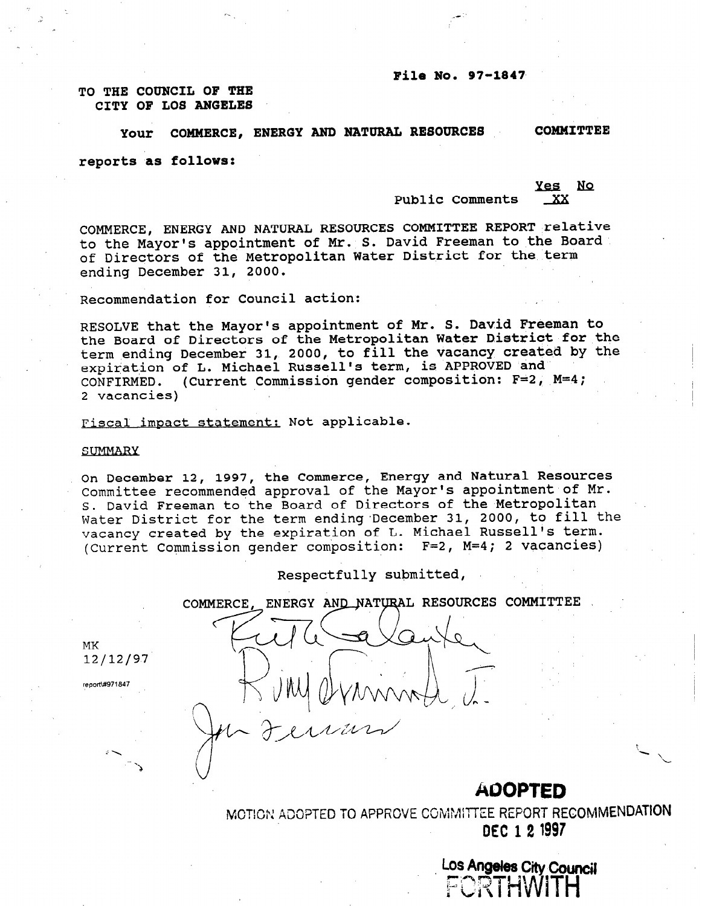#### File No. 97-1847

TO THE COUNCIL OF THE CITY OF LOS ANGELES

Your COMMERCE, ENERGY AND NATURAL RESOURCES COMMITTEE

reports as follows:

**No** Yes Public Comments XX

COMMERCE, ENERGY AND NATURAL RESOURCES COMMITTEE REPORT relative to the Mayor's appointment of Mr. S. David Freeman to the Board of Directors of the Metropolitan Water District for the term ending December 31, 2000.

Recommendation for Council action:

RESOLVE that the Mayor's appointment of Mr. S. David Freeman to the Board of Directors of the Metropolitan Water District for the term ending December 31, 2000, to fill the vacancy created by the expiration of L. Michael Russell's term, is APPROVED and CONFIRMED. (Current Commission gender composition: F=2, M=4; 2 vacancies)

Fiscal impact statement: Not applicable.

#### **SUMMARY**

On December 12, 1997, the Commerce, Energy and Natural Resources Committee recommended approval of the Mayor's appointment of Mr. S. David Freeman to'the Board of Directors of the Metropolitan Water District for the term ending December 31, 2000, to fill the vacancy created by the expiration of L. Michael Russell's term. (Current Commission gender composition: F=2, M=4; 2 vacancies)

Respectfully submitted,



MOTION ADOPTED TO APPROVE COMMITTEE REPORT RECOMMENDATION DEC 1 2 1997

> Los Angeles City Council EDRTHMITH

MK 12112197

report\#971847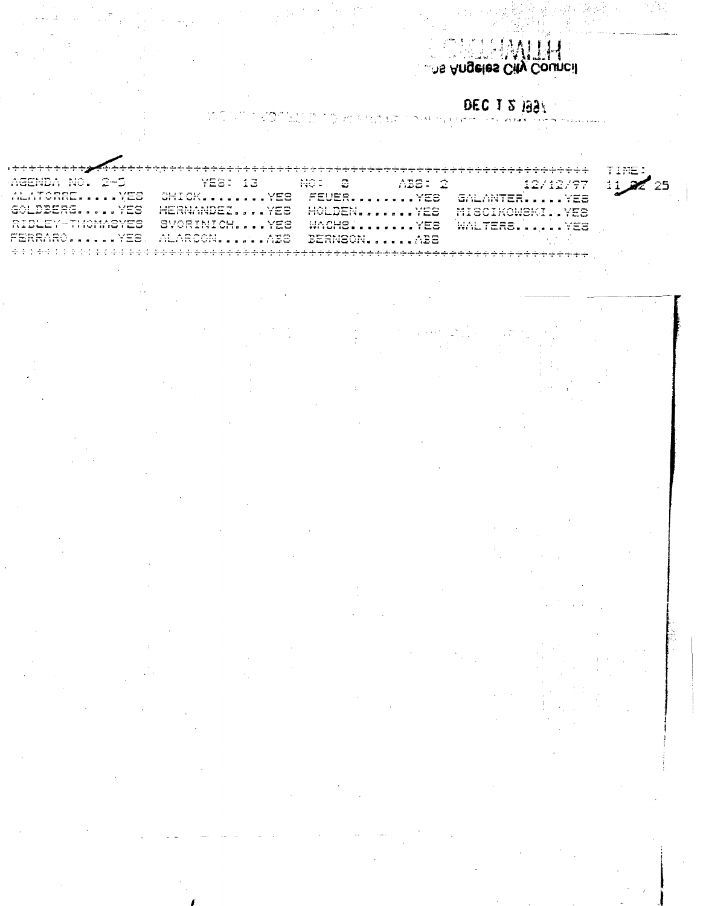# ns Angeles City Council

# DEC 12 1997

 $\mathcal{P}(\mathcal{C})$  . kromatica na **TTS 的内容** 

سیاد کے حیات کے سیاحت کر میاں کیا گیا جاتا ہے۔ **\*\*\*\*\*\*\*\*\*\*\*\*\*\*\*\*\*\*\*\*\*\*** AG END. 10. 2-5 13 NO.  $\mathbb{C}^{\mathbb{C}}$ ABS: 2 12/12/97 - 25 ATORRE...... YES CHICK.........YES FEUER........YES GALANTER......YES GOLDBERG.....YES HERNANDEZ.....YES HOLDEN........YES MISCIKOWSKI... YES RIDLEY-THOMABYES SVORINICH....YES WACHS. ....... YES WALTERS. ..... YES FERRARC.......YES ALAROON.......ABB BERNSON.......ABS بقديك بكوانيها كالركاء بكو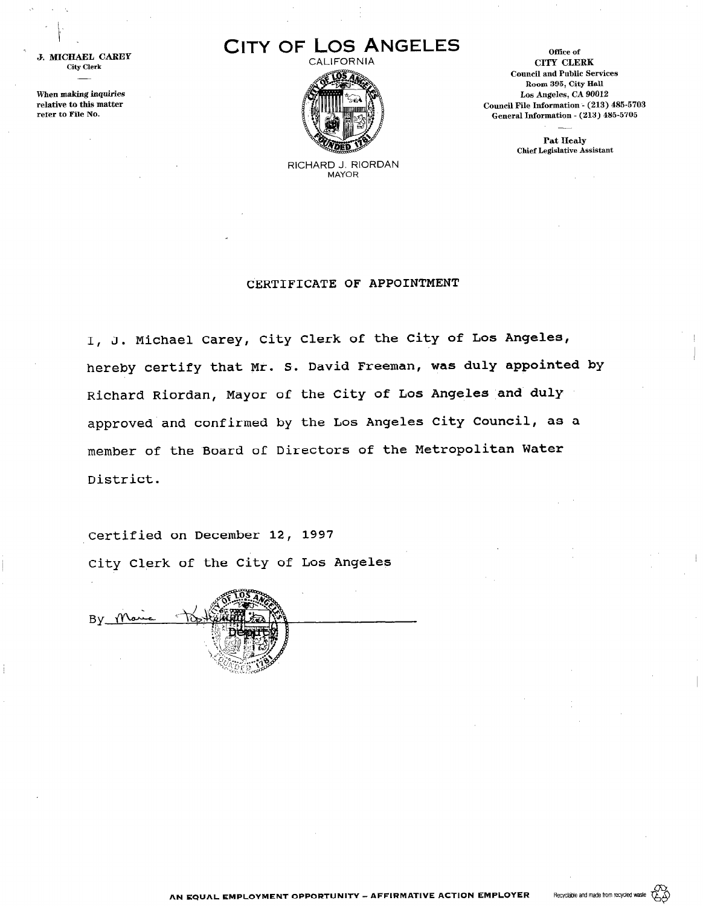**J. MICHAEL CAREY** City Clerk

,,

When making inquiries relative to this matter refer to File No.

# CITY OF LOS ANGELES **Office of**



RICHARD J. RIORDAN MAYOR

CALIFORNIA CITY CLERK Council and Public Services Room 395, City Hall Los Angeles, CA 90012 Council File Information - (213) 485-5703 General Information - (213) 485-5705

> Pat Healy Chief Legislative Assistant

#### CERTIFICATE OF APPOINTMENT

I, J. Michael Carey, City Clerk of the City of Los Angeles, hereby certify that Mr. S. David Freeman, was duly appointed by Richard Riordan, Mayor of the City of Los Angeles and duly approved and confirmed by the Los Angeles City Council, as a member of the Board of Directors of the Metropolitan Water District.

Certified on December 12, 1997 City Clerk of the City of Los Angeles

Bv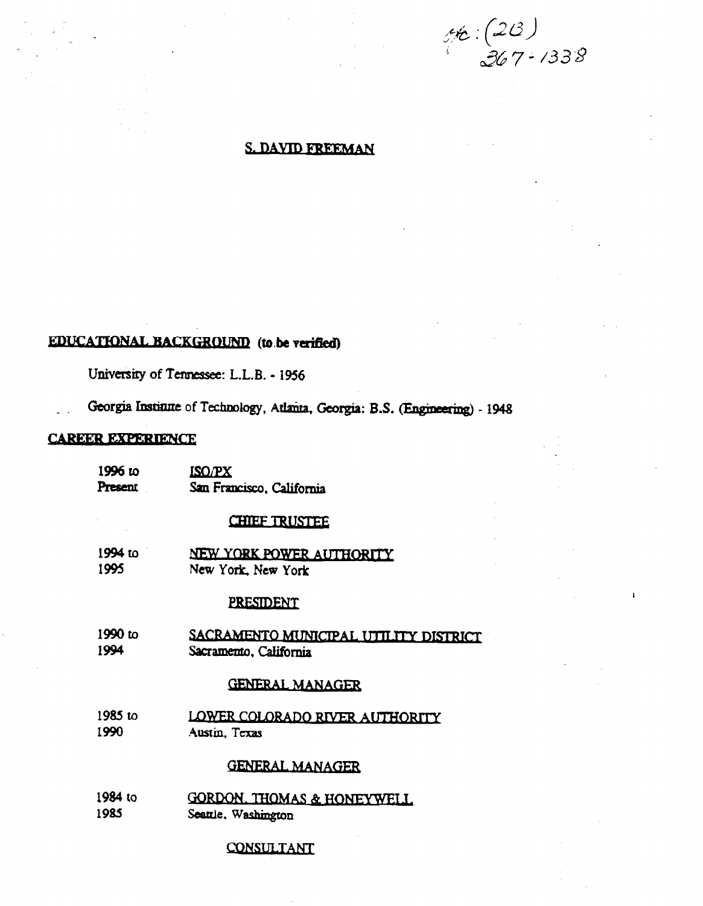

 $\mathbf{r}$ 

### **S. DAVID FREEMAN**

# EDUCATIONAL BACKGROUND (to be verified)

University of Tennessee: L.L.B. - 1956

Georgia Institute of Technology, Atlanta, Georgia: B.S. (Engineering) - 1948

#### **CAREER EXPERIENCE**

| 1996 w  | <b>ISO/PX</b>             |
|---------|---------------------------|
| Present | San Francisco, California |

#### **CHIEF TRUSTEE**

1994 to NEW YORK POWER AUTHORITY 1995 New York, New York

#### **PRESIDENT**

1990 to SACRAMENTO MUNICIPAL UTILITY DISTRICT 1994 Sacramento, California

#### **GENERAL MANAGER**

1985 to LOWER COLORADO RIVER AUTHORITY 1990 Austin, Texas

#### **GENERAL MANAGER**

1984 to GORDON. THOMAS & HONEYWELL 1985 Seattle, Washington

#### **CONSULTANT**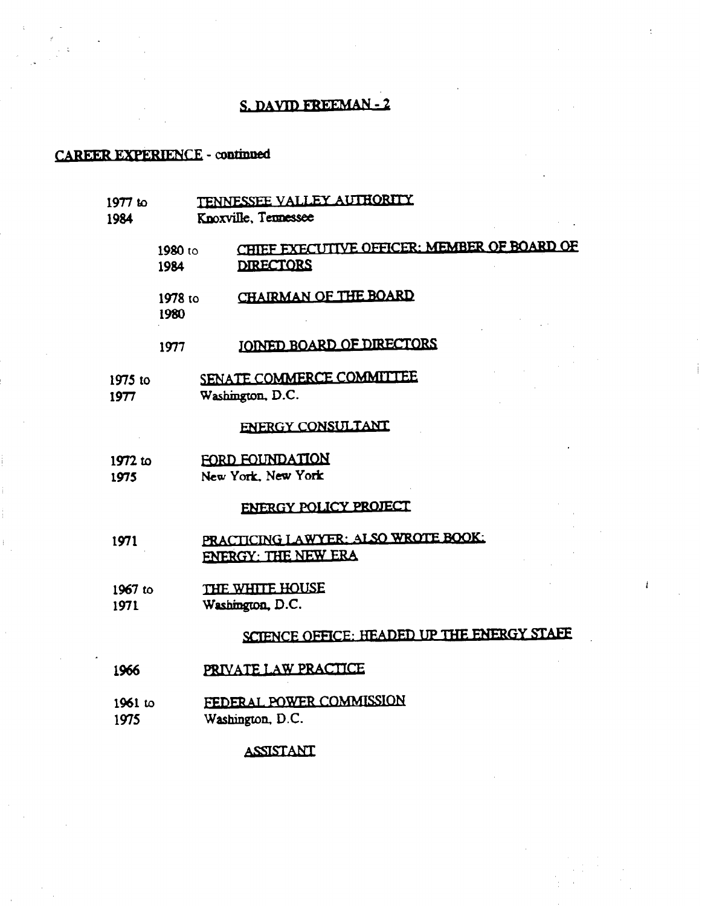# S. DAVID FREEMAN-2

### **CAREER EXPERIENCE - continued**

| $1977$ to<br>1984 |                 | TENNESSEE VALLEY AUTHORITY<br>Knoxville, Tennessee              |
|-------------------|-----------------|-----------------------------------------------------------------|
|                   | 1980 to<br>1984 | CHIEF EXECUTIVE OFFICER: MEMBER OF BOARD OF<br><b>DIRECTORS</b> |
|                   | 1978 to<br>1980 | CHAIRMAN OF THE BOARD                                           |
|                   | 1977            | JOINED BOARD OF DIRECTORS                                       |
| 1975 to<br>1977   |                 | SENATE COMMERCE COMMITTEE<br>Washington, D.C.                   |
|                   |                 | ENERGY CONSULTANT                                               |
| 1972 to<br>1975   |                 | FORD FOUNDATION<br>New York, New York                           |
|                   |                 | ENERGY POLICY PROJECT                                           |
| 1971              |                 | PRACTICING LAWYER: ALSO WROTE BOOK:<br>ENERGY: THE NEW ERA      |
| 1967 to<br>1971   |                 | THE WHITE HOUSE<br>Washington, D.C.                             |
|                   |                 | SCIENCE OFFICE: HEADED UP THE ENERGY STAFF                      |
| 1966              |                 | PRIVATE LAW PRACTICE                                            |
| $1961$ to<br>1975 |                 | FEDERAL POWER COMMISSION<br>Washington, D.C.                    |
|                   |                 | <b>ASSISTANT</b>                                                |

 $\mathbf{I}$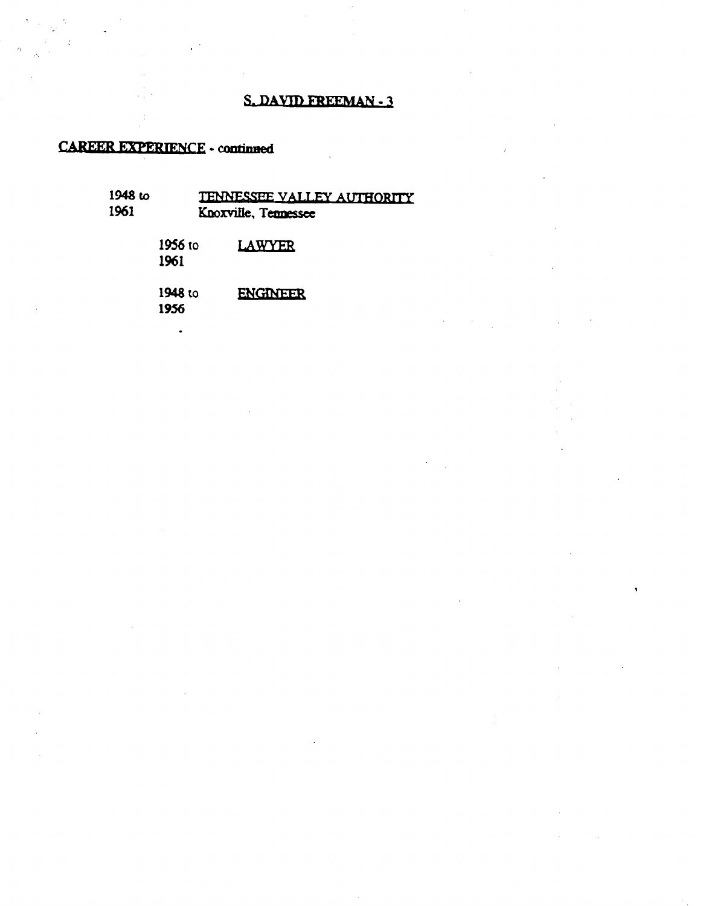### **S. DAVID FREEMAN - 3**

 $\ddot{\phantom{1}}$ 

# **CAREER EXPERIENCE - continned**

.

- 1948 to TENNESSEE VALLEY AUTHORITY 1961 Knoxville, Tennessee
	- 1956 to LAWYER 1961

1948 to **ENGINEER** 1956